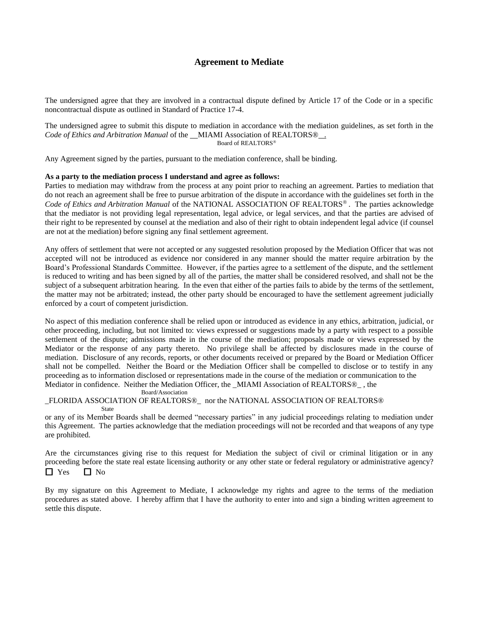## **Agreement to Mediate**

The undersigned agree that they are involved in a contractual dispute defined by Article 17 of the Code or in a specific noncontractual dispute as outlined in Standard of Practice 17-4.

The undersigned agree to submit this dispute to mediation in accordance with the mediation guidelines, as set forth in the *Code of Ethics and Arbitration Manual* of the MIAMI Association of REALTORS® . Board of REALTORS

Any Agreement signed by the parties, pursuant to the mediation conference, shall be binding.

## **As a party to the mediation process I understand and agree as follows:**

Parties to mediation may withdraw from the process at any point prior to reaching an agreement. Parties to mediation that do not reach an agreement shall be free to pursue arbitration of the dispute in accordance with the guidelines set forth in the Code of Ethics and Arbitration Manual of the NATIONAL ASSOCIATION OF REALTORS<sup>®</sup>. The parties acknowledge that the mediator is not providing legal representation, legal advice, or legal services, and that the parties are advised of their right to be represented by counsel at the mediation and also of their right to obtain independent legal advice (if counsel are not at the mediation) before signing any final settlement agreement.

Any offers of settlement that were not accepted or any suggested resolution proposed by the Mediation Officer that was not accepted will not be introduced as evidence nor considered in any manner should the matter require arbitration by the Board's Professional Standards Committee. However, if the parties agree to a settlement of the dispute, and the settlement is reduced to writing and has been signed by all of the parties, the matter shall be considered resolved, and shall not be the subject of a subsequent arbitration hearing. In the even that either of the parties fails to abide by the terms of the settlement, the matter may not be arbitrated; instead, the other party should be encouraged to have the settlement agreement judicially enforced by a court of competent jurisdiction.

No aspect of this mediation conference shall be relied upon or introduced as evidence in any ethics, arbitration, judicial, or other proceeding, including, but not limited to: views expressed or suggestions made by a party with respect to a possible settlement of the dispute; admissions made in the course of the mediation; proposals made or views expressed by the Mediator or the response of any party thereto. No privilege shall be affected by disclosures made in the course of mediation. Disclosure of any records, reports, or other documents received or prepared by the Board or Mediation Officer shall not be compelled. Neither the Board or the Mediation Officer shall be compelled to disclose or to testify in any proceeding as to information disclosed or representations made in the course of the mediation or communication to the Mediator in confidence. Neither the Mediation Officer, the \_MIAMI Association of REALTORS®\_ , the

Board/Association

\_FLORIDA ASSOCIATION OF REALTORS®\_ nor the NATIONAL ASSOCIATION OF REALTORS®

State

or any of its Member Boards shall be deemed "necessary parties" in any judicial proceedings relating to mediation under this Agreement. The parties acknowledge that the mediation proceedings will not be recorded and that weapons of any type are prohibited.

Are the circumstances giving rise to this request for Mediation the subject of civil or criminal litigation or in any proceeding before the state real estate licensing authority or any other state or federal regulatory or administrative agency?  $\Box$  Yes  $\Box$  No

By my signature on this Agreement to Mediate, I acknowledge my rights and agree to the terms of the mediation procedures as stated above. I hereby affirm that I have the authority to enter into and sign a binding written agreement to settle this dispute.